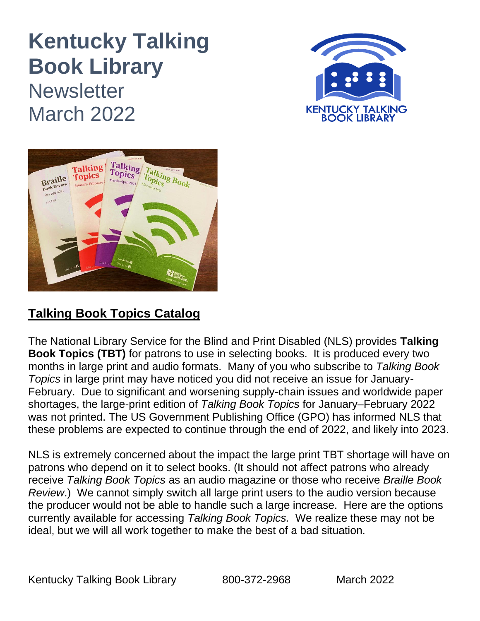# **Kentucky Talking Book Library Newsletter** March 2022





## **Talking Book Topics Catalog**

The National Library Service for the Blind and Print Disabled (NLS) provides **Talking Book Topics (TBT)** for patrons to use in selecting books. It is produced every two months in large print and audio formats. Many of you who subscribe to *Talking Book Topics* in large print may have noticed you did not receive an issue for January-February. Due to significant and worsening supply-chain issues and worldwide paper shortages, the large-print edition of *Talking Book Topics* for January–February 2022 was not printed. The US Government Publishing Office (GPO) has informed NLS that these problems are expected to continue through the end of 2022, and likely into 2023.

NLS is extremely concerned about the impact the large print TBT shortage will have on patrons who depend on it to select books. (It should not affect patrons who already receive *Talking Book Topics* as an audio magazine or those who receive *Braille Book Review*.) We cannot simply switch all large print users to the audio version because the producer would not be able to handle such a large increase. Here are the options currently available for accessing *Talking Book Topics.* We realize these may not be ideal, but we will all work together to make the best of a bad situation.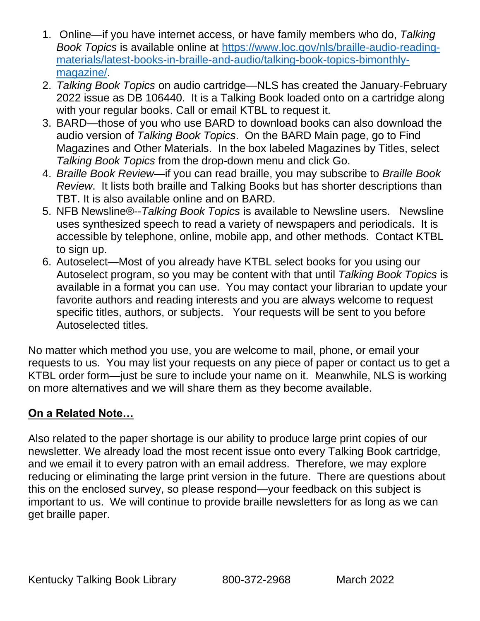- 1. Online—if you have internet access, or have family members who do, *Talking Book Topics* is available online at [https://www.loc.gov/nls/braille-audio-reading](https://www.loc.gov/nls/braille-audio-reading-materials/latest-books-in-braille-and-audio/talking-book-topics-bimonthly-magazine/)[materials/latest-books-in-braille-and-audio/talking-book-topics-bimonthly](https://www.loc.gov/nls/braille-audio-reading-materials/latest-books-in-braille-and-audio/talking-book-topics-bimonthly-magazine/)[magazine/.](https://www.loc.gov/nls/braille-audio-reading-materials/latest-books-in-braille-and-audio/talking-book-topics-bimonthly-magazine/)
- 2. *Talking Book Topics* on audio cartridge—NLS has created the January-February 2022 issue as DB 106440. It is a Talking Book loaded onto on a cartridge along with your regular books. Call or email KTBL to request it.
- 3. BARD—those of you who use BARD to download books can also download the audio version of *Talking Book Topics*. On the BARD Main page, go to Find Magazines and Other Materials. In the box labeled Magazines by Titles, select *Talking Book Topics* from the drop-down menu and click Go.
- 4. *Braille Book Review*—if you can read braille, you may subscribe to *Braille Book Review*. It lists both braille and Talking Books but has shorter descriptions than TBT. It is also available online and on BARD.
- 5. NFB Newsline®--*Talking Book Topics* is available to Newsline users. Newsline uses synthesized speech to read a variety of newspapers and periodicals. It is accessible by telephone, online, mobile app, and other methods. Contact KTBL to sign up.
- 6. Autoselect—Most of you already have KTBL select books for you using our Autoselect program, so you may be content with that until *Talking Book Topics* is available in a format you can use. You may contact your librarian to update your favorite authors and reading interests and you are always welcome to request specific titles, authors, or subjects. Your requests will be sent to you before Autoselected titles.

No matter which method you use, you are welcome to mail, phone, or email your requests to us. You may list your requests on any piece of paper or contact us to get a KTBL order form—just be sure to include your name on it. Meanwhile, NLS is working on more alternatives and we will share them as they become available.

### **On a Related Note…**

Also related to the paper shortage is our ability to produce large print copies of our newsletter. We already load the most recent issue onto every Talking Book cartridge, and we email it to every patron with an email address. Therefore, we may explore reducing or eliminating the large print version in the future. There are questions about this on the enclosed survey, so please respond—your feedback on this subject is important to us. We will continue to provide braille newsletters for as long as we can get braille paper.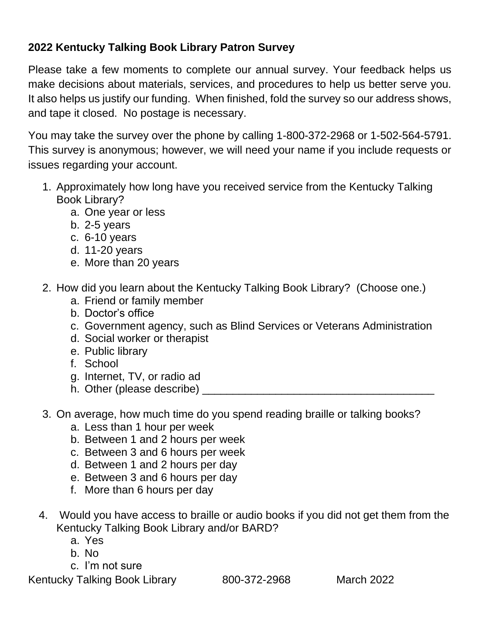### **2022 Kentucky Talking Book Library Patron Survey**

Please take a few moments to complete our annual survey. Your feedback helps us make decisions about materials, services, and procedures to help us better serve you. It also helps us justify our funding. When finished, fold the survey so our address shows, and tape it closed. No postage is necessary.

You may take the survey over the phone by calling 1-800-372-2968 or 1-502-564-5791. This survey is anonymous; however, we will need your name if you include requests or issues regarding your account.

- 1. Approximately how long have you received service from the Kentucky Talking Book Library?
	- a. One year or less
	- b. 2-5 years
	- c. 6-10 years
	- d. 11-20 years
	- e. More than 20 years
- 2. How did you learn about the Kentucky Talking Book Library? (Choose one.)
	- a. Friend or family member
	- b. Doctor's office
	- c. Government agency, such as Blind Services or Veterans Administration
	- d. Social worker or therapist
	- e. Public library
	- f. School
	- g. Internet, TV, or radio ad
	- h. Other (please describe) \_
- 3. On average, how much time do you spend reading braille or talking books?
	- a. Less than 1 hour per week
	- b. Between 1 and 2 hours per week
	- c. Between 3 and 6 hours per week
	- d. Between 1 and 2 hours per day
	- e. Between 3 and 6 hours per day
	- f. More than 6 hours per day
- 4. Would you have access to braille or audio books if you did not get them from the Kentucky Talking Book Library and/or BARD?
	- a. Yes
	- b. No
	- c. I'm not sure

Kentucky Talking Book Library 800-372-2968 March 2022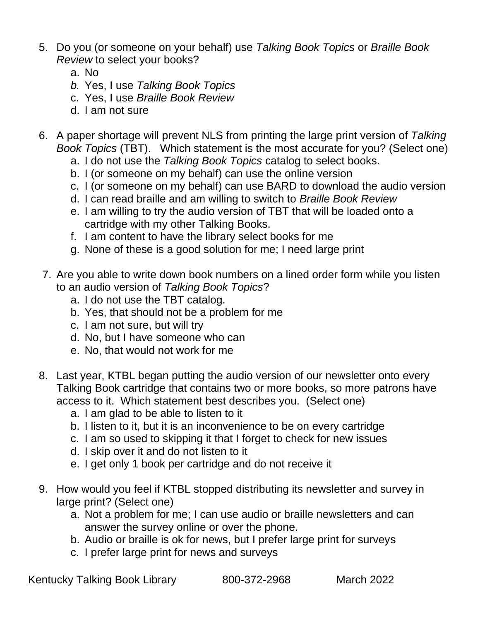- 5. Do you (or someone on your behalf) use *Talking Book Topics* or *Braille Book Review* to select your books?
	- a. No
	- *b.* Yes, I use *Talking Book Topics*
	- c. Yes, I use *Braille Book Review*
	- d. I am not sure
- 6. A paper shortage will prevent NLS from printing the large print version of *Talking Book Topics* (TBT). Which statement is the most accurate for you? (Select one)
	- a. I do not use the *Talking Book Topics* catalog to select books.
	- b. I (or someone on my behalf) can use the online version
	- c. I (or someone on my behalf) can use BARD to download the audio version
	- d. I can read braille and am willing to switch to *Braille Book Review*
	- e. I am willing to try the audio version of TBT that will be loaded onto a cartridge with my other Talking Books.
	- f. I am content to have the library select books for me
	- g. None of these is a good solution for me; I need large print
- 7. Are you able to write down book numbers on a lined order form while you listen to an audio version of *Talking Book Topics*?
	- a. I do not use the TBT catalog.
	- b. Yes, that should not be a problem for me
	- c. I am not sure, but will try
	- d. No, but I have someone who can
	- e. No, that would not work for me
- 8. Last year, KTBL began putting the audio version of our newsletter onto every Talking Book cartridge that contains two or more books, so more patrons have access to it. Which statement best describes you. (Select one)
	- a. I am glad to be able to listen to it
	- b. I listen to it, but it is an inconvenience to be on every cartridge
	- c. I am so used to skipping it that I forget to check for new issues
	- d. I skip over it and do not listen to it
	- e. I get only 1 book per cartridge and do not receive it
- 9. How would you feel if KTBL stopped distributing its newsletter and survey in large print? (Select one)
	- a. Not a problem for me; I can use audio or braille newsletters and can answer the survey online or over the phone.
	- b. Audio or braille is ok for news, but I prefer large print for surveys
	- c. I prefer large print for news and surveys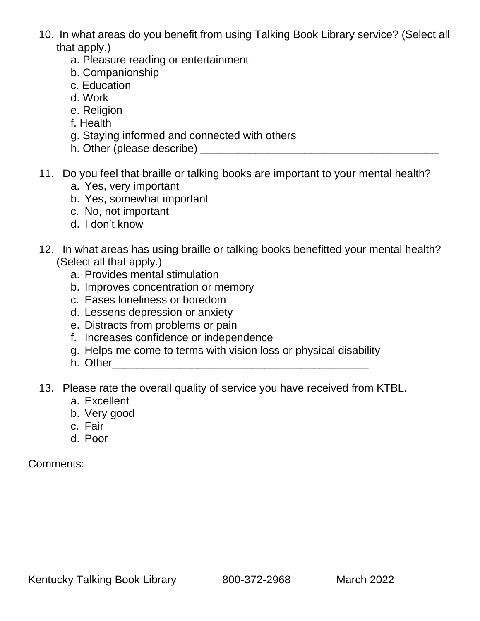- 10. In what areas do you benefit from using Talking Book Library service? (Select all that apply.)
	- a. Pleasure reading or entertainment
	- b. Companionship
	- c. Education
	- d. Work
	- e. Religion
	- f. Health
	- g. Staying informed and connected with others
	- h. Other (please describe) \_\_\_\_\_\_\_\_\_\_\_\_\_\_\_\_\_\_\_\_\_\_\_\_\_\_\_\_\_\_\_\_\_\_\_\_\_\_\_
- 11. Do you feel that braille or talking books are important to your mental health?
	- a. Yes, very important
	- b. Yes, somewhat important
	- c. No, not important
	- d. I don't know
- 12. In what areas has using braille or talking books benefitted your mental health? (Select all that apply.)
	- a. Provides mental stimulation
	- b. Improves concentration or memory
	- c. Eases loneliness or boredom
	- d. Lessens depression or anxiety
	- e. Distracts from problems or pain
	- f. Increases confidence or independence
	- g. Helps me come to terms with vision loss or physical disability
	- h. Other
- 13. Please rate the overall quality of service you have received from KTBL.
	- a. Excellent
	- b. Very good
	- c. Fair
	- d. Poor

#### Comments: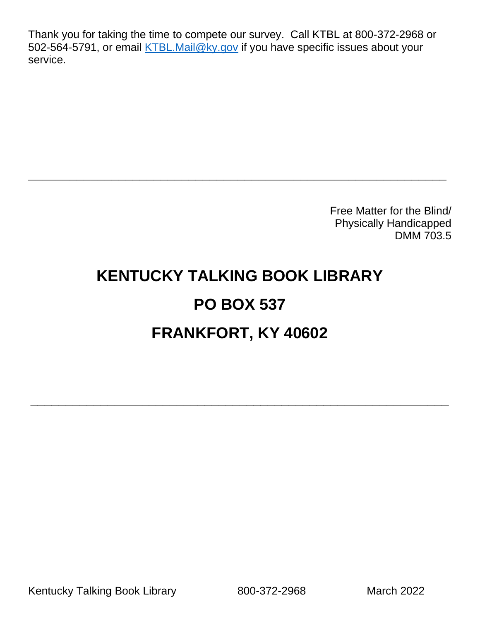Thank you for taking the time to compete our survey. Call KTBL at 800-372-2968 or 502-564-5791, or email [KTBL.Mail@ky.gov](mailto:KTBL.Mail@ky.gov) if you have specific issues about your service.

> Free Matter for the Blind/ Physically Handicapped DMM 703.5

# **KENTUCKY TALKING BOOK LIBRARY PO BOX 537 FRANKFORT, KY 40602**

**\_\_\_\_\_\_\_\_\_\_\_\_\_\_\_\_\_\_\_\_\_\_\_\_\_\_\_\_\_\_\_\_\_\_\_\_\_\_\_\_\_\_\_\_\_\_\_\_\_\_\_\_\_\_\_\_\_\_\_\_**

**\_\_\_\_\_\_\_\_\_\_\_\_\_\_\_\_\_\_\_\_\_\_\_\_\_\_\_\_\_\_\_\_\_\_\_\_\_\_\_\_\_\_\_\_\_\_\_\_\_\_\_\_\_\_\_\_\_\_\_\_**

Kentucky Talking Book Library 800-372-2968 March 2022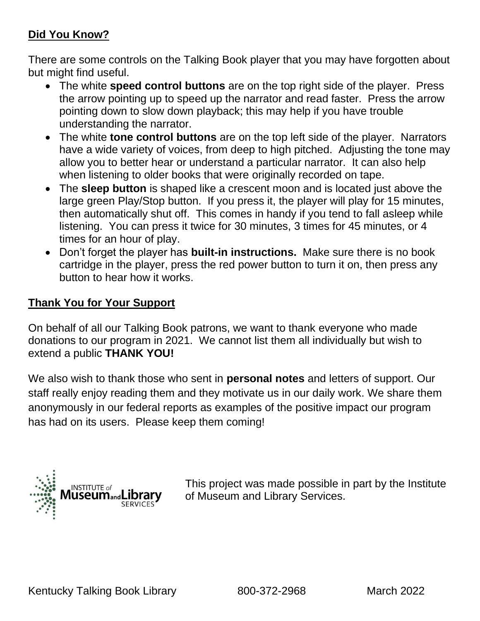#### **Did You Know?**

There are some controls on the Talking Book player that you may have forgotten about but might find useful.

- The white **speed control buttons** are on the top right side of the player. Press the arrow pointing up to speed up the narrator and read faster. Press the arrow pointing down to slow down playback; this may help if you have trouble understanding the narrator.
- The white **tone control buttons** are on the top left side of the player. Narrators have a wide variety of voices, from deep to high pitched. Adjusting the tone may allow you to better hear or understand a particular narrator. It can also help when listening to older books that were originally recorded on tape.
- The **sleep button** is shaped like a crescent moon and is located just above the large green Play/Stop button. If you press it, the player will play for 15 minutes, then automatically shut off. This comes in handy if you tend to fall asleep while listening. You can press it twice for 30 minutes, 3 times for 45 minutes, or 4 times for an hour of play.
- Don't forget the player has **built-in instructions.** Make sure there is no book cartridge in the player, press the red power button to turn it on, then press any button to hear how it works.

#### **Thank You for Your Support**

On behalf of all our Talking Book patrons, we want to thank everyone who made donations to our program in 2021. We cannot list them all individually but wish to extend a public **THANK YOU!**

We also wish to thank those who sent in **personal notes** and letters of support. Our staff really enjoy reading them and they motivate us in our daily work. We share them anonymously in our federal reports as examples of the positive impact our program has had on its users. Please keep them coming!



This project was made possible in part by the Institute of Museum and Library Services.